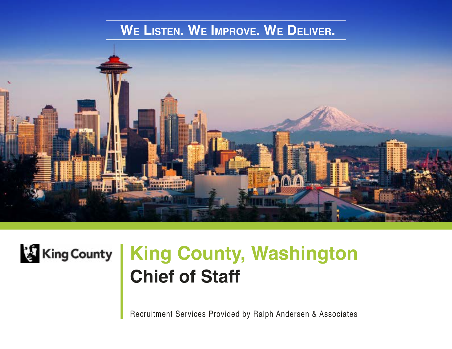### **We Listen. We Improve. We Deliver.**





# **Chief of Staff King County | King County, Washington**

Recruitment Services Provided by Ralph Andersen & Associates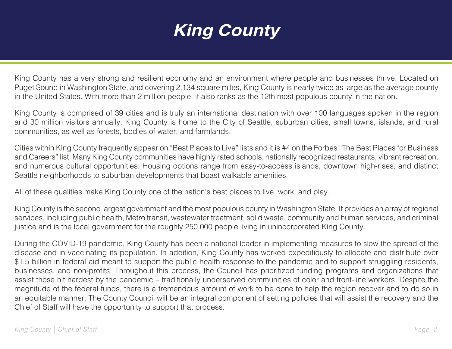# **King County**

King County has a very strong and resilient economy and an environment where people and businesses thrive. Located on Puget Sound in Washington State, and covering 2,134 square miles, King County is nearly twice as large as the average county in the United States. With more than 2 million people, it also ranks as the 12th most populous county in the nation.

King County is comprised of 39 cities and is truly an international destination with over 100 languages spoken in the region and 30 million visitors annually. King County is home to the City of Seattle, suburban cities, small towns, islands, and rural communities, as well as forests, bodies of water, and farmlands.

Cities within King County frequently appear on "Best Places to Live" lists and it is #4 on the Forbes "The Best Places for Business and Careers" list. Many King County communities have highly rated schools, nationally recognized restaurants, vibrant recreation, and numerous cultural opportunities. Housing options range from easy-to-access islands, downtown high-rises, and distinct Seattle neighborhoods to suburban developments that boast walkable amenities.

All of these qualities make King County one of the nation's best places to live, work, and play.

King County is the second largest government and the most populous county in Washington State. It provides an array of regional services, including public health, Metro transit, wastewater treatment, solid waste, community and human services, and criminal justice and is the local government for the roughly 250,000 people living in unincorporated King County.

During the COVID-19 pandemic, King County has been a national leader in implementing measures to slow the spread of the disease and in vaccinating its population. In addition, King County has worked expeditiously to allocate and distribute over \$1.5 billion in federal aid meant to support the public health response to the pandemic and to support struggling residents, businesses, and non-profits. Throughout this process, the Council has prioritized funding programs and organizations that assist those hit hardest by the pandemic – traditionally underserved communities of color and front-line workers. Despite the magnitude of the federal funds, there is a tremendous amount of work to be done to help the region recover and to do so in an equitable manner. The County Council will be an integral component of setting policies that will assist the recovery and the Chief of Staff will have the opportunity to support that process.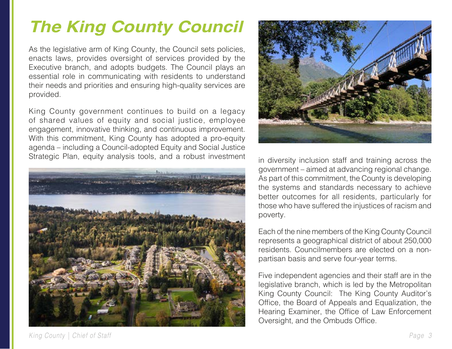# **The King County Council**

As the legislative arm of King County, the Council sets policies, enacts laws, provides oversight of services provided by the Executive branch, and adopts budgets. The Council plays an essential role in communicating with residents to understand their needs and priorities and ensuring high-quality services are provided.

King County government continues to build on a legacy of shared values of [equity and social justice,](https://kingcounty.gov/elected/executive/equity-social-justice.aspx) [employee](https://kingcounty.gov/audience/employees/employee-survey.aspx)  [engagement,](https://kingcounty.gov/audience/employees/employee-survey.aspx) [innovative thinking](https://kingcounty.gov/elected/executive/constantine/priorities/best-run-government.aspx), and [continuous improvement](https://kingcounty.gov/depts/executive/performance-strategy-budget.aspx). With this commitment, King County has adopted a pro-equity agenda – including a Council-adopted Equity and Social Justice Strategic Plan, equity analysis tools, and a robust investment





in diversity inclusion staff and training across the government – aimed at advancing regional change. As part of this commitment, the County is developing the systems and standards necessary to achieve better outcomes for all residents, particularly for those who have suffered the injustices of racism and poverty.

Each of the nine members of the King County Council represents a geographical district of about 250,000 residents. Councilmembers are elected on a nonpartisan basis and serve four-year terms.

Five independent agencies and their staff are in the legislative branch, which is led by the Metropolitan King County Council: The King County Auditor's Office, the Board of Appeals and Equalization, the Hearing Examiner, the Office of Law Enforcement Oversight, and the Ombuds Office.

*King County | Chief of Staff Page 3*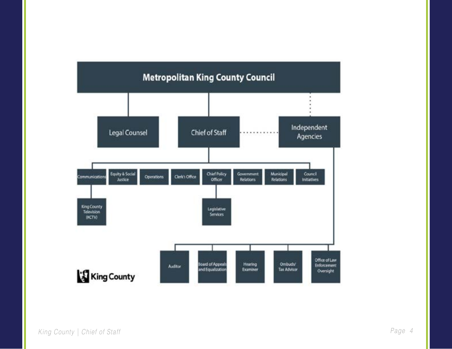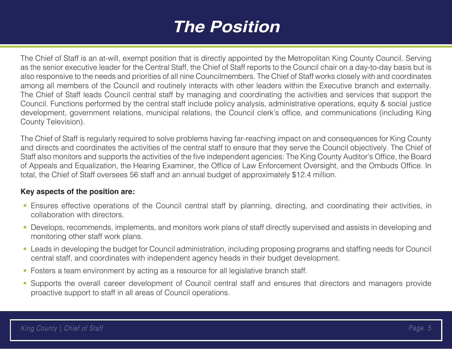### **The Position**

The Chief of Staff is an at-will, exempt position that is directly appointed by the Metropolitan King County Council. Serving as the senior executive leader for the Central Staff, the Chief of Staff reports to the Council chair on a day-to-day basis but is also responsive to the needs and priorities of all nine Councilmembers. The Chief of Staff works closely with and coordinates among all members of the Council and routinely interacts with other leaders within the Executive branch and externally. The Chief of Staff leads Council central staff by managing and coordinating the activities and services that support the Council. Functions performed by the central staff include policy analysis, administrative operations, equity & social justice development, government relations, municipal relations, the Council clerk's office, and communications (including King County Television).

The Chief of Staff is regularly required to solve problems having far-reaching impact on and consequences for King County and directs and coordinates the activities of the central staff to ensure that they serve the Council objectively. The Chief of Staff also monitors and supports the activities of the five independent agencies: The King County Auditor's Office, the Board of Appeals and Equalization, the Hearing Examiner, the Office of Law Enforcement Oversight, and the Ombuds Office. In total, the Chief of Staff oversees 56 staff and an annual budget of approximately \$12.4 million.

#### **Key aspects of the position are:**

- Ensures effective operations of the Council central staff by planning, directing, and coordinating their activities, in collaboration with directors.
- Develops, recommends, implements, and monitors work plans of staff directly supervised and assists in developing and monitoring other staff work plans.
- Leads in developing the budget for Council administration, including proposing programs and staffing needs for Council central staff, and coordinates with independent agency heads in their budget development.
- Fosters a team environment by acting as a resource for all legislative branch staff.
- Supports the overall career development of Council central staff and ensures that directors and managers provide proactive support to staff in all areas of Council operations.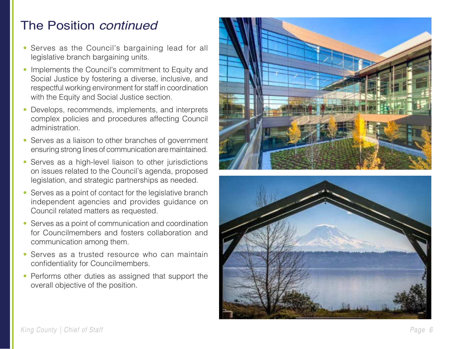#### The Position *continued*

- Serves as the Council's bargaining lead for all legislative branch bargaining units.
- Implements the Council's commitment to Equity and Social Justice by fostering a diverse, inclusive, and respectful working environment for staff in coordination with the Equity and Social Justice section.
- Develops, recommends, implements, and interprets complex policies and procedures affecting Council administration.
- Serves as a liaison to other branches of government ensuring strong lines of communication are maintained.
- Serves as a high-level liaison to other jurisdictions on issues related to the Council's agenda, proposed legislation, and strategic partnerships as needed.
- Serves as a point of contact for the legislative branch independent agencies and provides guidance on Council related matters as requested.
- Serves as a point of communication and coordination for Councilmembers and fosters collaboration and communication among them.
- Serves as a trusted resource who can maintain confidentiality for Councilmembers.
- Performs other duties as assigned that support the overall objective of the position.



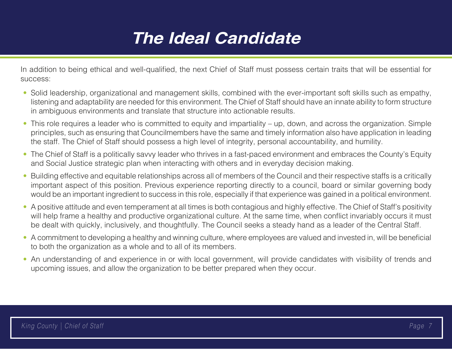## **The Ideal Candidate**

In addition to being ethical and well-qualified, the next Chief of Staff must possess certain traits that will be essential for success:

- Solid leadership, organizational and management skills, combined with the ever-important soft skills such as empathy, listening and adaptability are needed for this environment. The Chief of Staff should have an innate ability to form structure in ambiguous environments and translate that structure into actionable results.
- This role requires a leader who is committed to equity and impartiality up, down, and across the organization. Simple principles, such as ensuring that Councilmembers have the same and timely information also have application in leading the staff. The Chief of Staff should possess a high level of integrity, personal accountability, and humility.
- The Chief of Staff is a politically savvy leader who thrives in a fast-paced environment and embraces the County's Equity and Social Justice strategic plan when interacting with others and in everyday decision making.
- Building effective and equitable relationships across all of members of the Council and their respective staffs is a critically important aspect of this position. Previous experience reporting directly to a council, board or similar governing body would be an important ingredient to success in this role, especially if that experience was gained in a political environment.
- A positive attitude and even temperament at all times is both contagious and highly effective. The Chief of Staff's positivity will help frame a healthy and productive organizational culture. At the same time, when conflict invariably occurs it must be dealt with quickly, inclusively, and thoughtfully. The Council seeks a steady hand as a leader of the Central Staff.
- A commitment to developing a healthy and winning culture, where employees are valued and invested in, will be beneficial to both the organization as a whole and to all of its members.
- An understanding of and experience in or with local government, will provide candidates with visibility of trends and upcoming issues, and allow the organization to be better prepared when they occur.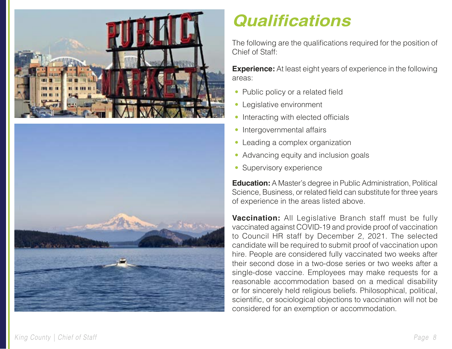



# **Qualifications**

The following are the qualifications required for the position of Chief of Staff:

**Experience:** At least eight years of experience in the following areas:

- Public policy or a related field
- Legislative environment
- Interacting with elected officials
- Intergovernmental affairs
- Leading a complex organization
- Advancing equity and inclusion goals
- Supervisory experience

**Education:** A Master's degree in Public Administration, Political Science, Business, or related field can substitute for three years of experience in the areas listed above.

**Vaccination:** All Legislative Branch staff must be fully vaccinated against COVID-19 and provide proof of vaccination to Council HR staff by December 2, 2021. The selected candidate will be required to submit proof of vaccination upon hire. People are considered fully vaccinated two weeks after their second dose in a two-dose series or two weeks after a single-dose vaccine. Employees may make requests for a reasonable accommodation based on a medical disability or for sincerely held religious beliefs. Philosophical, political, scientific, or sociological objections to vaccination will not be considered for an exemption or accommodation.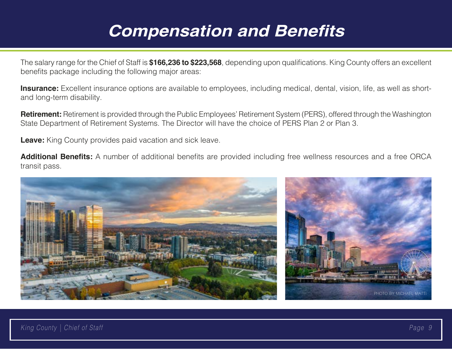### **Compensation and Benefits**

The salary range for the Chief of Staff is **\$166,236 to \$223,568**, depending upon qualifications. King County offers an excellent benefits package including the following major areas:

**Insurance:** Excellent insurance options are available to employees, including medical, dental, vision, life, as well as shortand long-term disability.

**Retirement:** Retirement is provided through the Public Employees' Retirement System (PERS), offered through the Washington State Department of Retirement Systems. The Director will have the choice of PERS Plan 2 or Plan 3.

**Leave:** King County provides paid vacation and sick leave.

**Additional Benefits:** A number of additional benefits are provided including free wellness resources and a free ORCA transit pass.